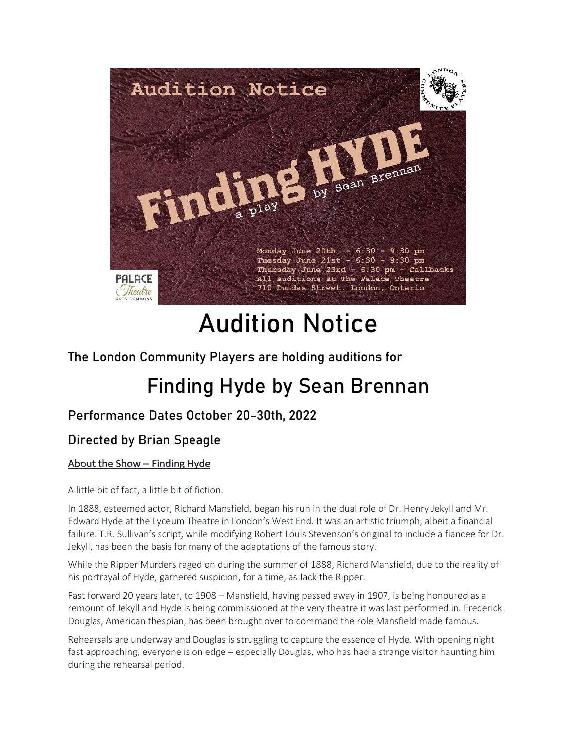

# **Audition Notice**

### **The London Community Players are holding auditions for**

## **Finding Hyde by Sean Brennan**

#### **Performance Dates October 20-30th, 2022**

#### **Directed by Brian Speagle**

#### About the Show – Finding Hyde

A little bit of fact, a little bit of fiction.

In 1888, esteemed actor, Richard Mansfield, began his run in the dual role of Dr. Henry Jekyll and Mr. Edward Hyde at the Lyceum Theatre in London's West End. It was an artistic triumph, albeit a financial failure. T.R. Sullivan's script, while modifying Robert Louis Stevenson's original to include a fiancee for Dr. Jekyll, has been the basis for many of the adaptations of the famous story.

While the Ripper Murders raged on during the summer of 1888, Richard Mansfield, due to the reality of his portrayal of Hyde, garnered suspicion, for a time, as Jack the Ripper.

Fast forward 20 years later, to 1908 – Mansfield, having passed away in 1907, is being honoured as a remount of Jekyll and Hyde is being commissioned at the very theatre it was last performed in. Frederick Douglas, American thespian, has been brought over to command the role Mansfield made famous.

Rehearsals are underway and Douglas is struggling to capture the essence of Hyde. With opening night fast approaching, everyone is on edge – especially Douglas, who has had a strange visitor haunting him during the rehearsal period.